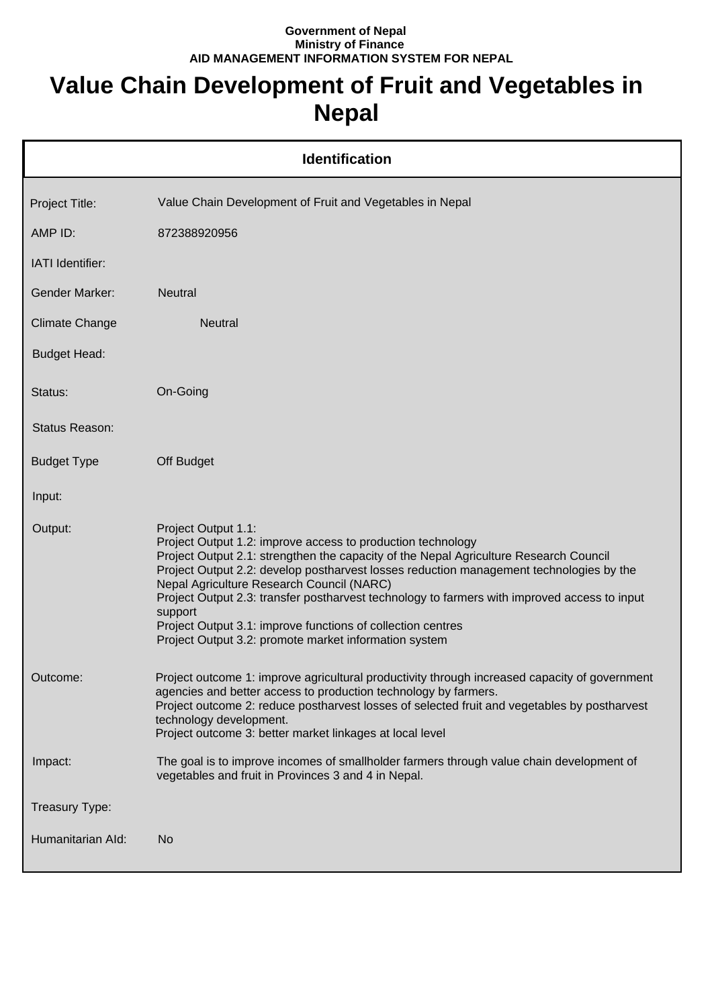## **Government of Nepal Ministry of Finance AID MANAGEMENT INFORMATION SYSTEM FOR NEPAL**

## **Value Chain Development of Fruit and Vegetables in Nepal**

|                       | <b>Identification</b>                                                                                                                                                                                                                                                                                                                                                                                                                                                                                                                                  |
|-----------------------|--------------------------------------------------------------------------------------------------------------------------------------------------------------------------------------------------------------------------------------------------------------------------------------------------------------------------------------------------------------------------------------------------------------------------------------------------------------------------------------------------------------------------------------------------------|
| Project Title:        | Value Chain Development of Fruit and Vegetables in Nepal                                                                                                                                                                                                                                                                                                                                                                                                                                                                                               |
| AMP ID:               | 872388920956                                                                                                                                                                                                                                                                                                                                                                                                                                                                                                                                           |
| IATI Identifier:      |                                                                                                                                                                                                                                                                                                                                                                                                                                                                                                                                                        |
| <b>Gender Marker:</b> | <b>Neutral</b>                                                                                                                                                                                                                                                                                                                                                                                                                                                                                                                                         |
| <b>Climate Change</b> | <b>Neutral</b>                                                                                                                                                                                                                                                                                                                                                                                                                                                                                                                                         |
| <b>Budget Head:</b>   |                                                                                                                                                                                                                                                                                                                                                                                                                                                                                                                                                        |
| Status:               | On-Going                                                                                                                                                                                                                                                                                                                                                                                                                                                                                                                                               |
| Status Reason:        |                                                                                                                                                                                                                                                                                                                                                                                                                                                                                                                                                        |
| <b>Budget Type</b>    | Off Budget                                                                                                                                                                                                                                                                                                                                                                                                                                                                                                                                             |
| Input:                |                                                                                                                                                                                                                                                                                                                                                                                                                                                                                                                                                        |
| Output:               | Project Output 1.1:<br>Project Output 1.2: improve access to production technology<br>Project Output 2.1: strengthen the capacity of the Nepal Agriculture Research Council<br>Project Output 2.2: develop postharvest losses reduction management technologies by the<br>Nepal Agriculture Research Council (NARC)<br>Project Output 2.3: transfer postharvest technology to farmers with improved access to input<br>support<br>Project Output 3.1: improve functions of collection centres<br>Project Output 3.2: promote market information system |
| Outcome:              | Project outcome 1: improve agricultural productivity through increased capacity of government<br>agencies and better access to production technology by farmers.<br>Project outcome 2: reduce postharvest losses of selected fruit and vegetables by postharvest<br>technology development.<br>Project outcome 3: better market linkages at local level                                                                                                                                                                                                |
| Impact:               | The goal is to improve incomes of smallholder farmers through value chain development of<br>vegetables and fruit in Provinces 3 and 4 in Nepal.                                                                                                                                                                                                                                                                                                                                                                                                        |
| Treasury Type:        |                                                                                                                                                                                                                                                                                                                                                                                                                                                                                                                                                        |
| Humanitarian Ald:     | N <sub>o</sub>                                                                                                                                                                                                                                                                                                                                                                                                                                                                                                                                         |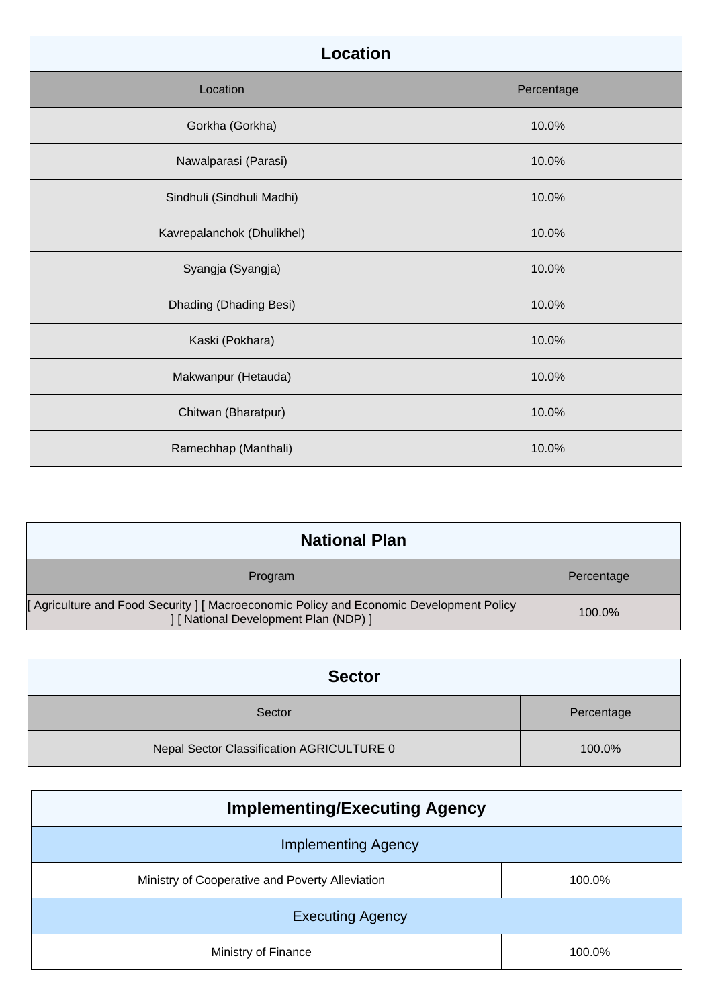| <b>Location</b>            |            |
|----------------------------|------------|
| Location                   | Percentage |
| Gorkha (Gorkha)            | 10.0%      |
| Nawalparasi (Parasi)       | 10.0%      |
| Sindhuli (Sindhuli Madhi)  | 10.0%      |
| Kavrepalanchok (Dhulikhel) | 10.0%      |
| Syangja (Syangja)          | 10.0%      |
| Dhading (Dhading Besi)     | 10.0%      |
| Kaski (Pokhara)            | 10.0%      |
| Makwanpur (Hetauda)        | 10.0%      |
| Chitwan (Bharatpur)        | 10.0%      |
| Ramechhap (Manthali)       | 10.0%      |

| <b>National Plan</b>                                                                                                            |            |
|---------------------------------------------------------------------------------------------------------------------------------|------------|
| Program                                                                                                                         | Percentage |
| [Agriculture and Food Security ] [Macroeconomic Policy and Economic Development Policy<br>] [ National Development Plan (NDP) ] | $100.0\%$  |

| <b>Sector</b>                             |            |
|-------------------------------------------|------------|
| Sector                                    | Percentage |
| Nepal Sector Classification AGRICULTURE 0 | 100.0%     |

| <b>Implementing/Executing Agency</b>            |        |
|-------------------------------------------------|--------|
| <b>Implementing Agency</b>                      |        |
| Ministry of Cooperative and Poverty Alleviation | 100.0% |
| <b>Executing Agency</b>                         |        |
| Ministry of Finance                             | 100.0% |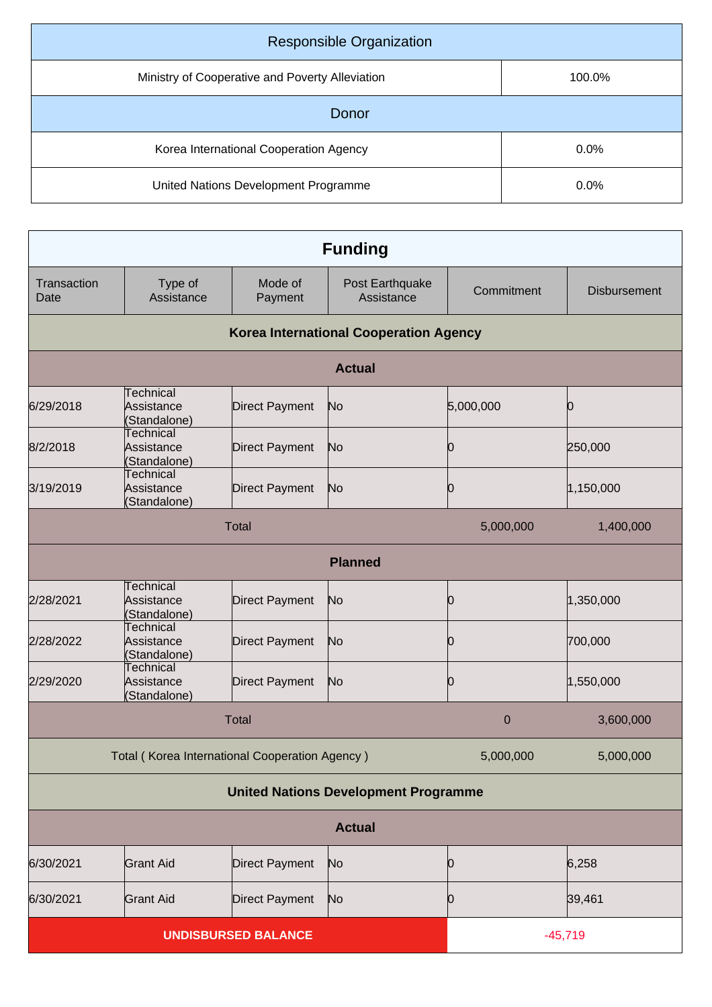| <b>Responsible Organization</b>                 |         |  |
|-------------------------------------------------|---------|--|
| Ministry of Cooperative and Poverty Alleviation | 100.0%  |  |
| Donor                                           |         |  |
| Korea International Cooperation Agency          | $0.0\%$ |  |
| United Nations Development Programme            | $0.0\%$ |  |

| <b>Funding</b>                              |                                                |                            |                                               |             |                     |
|---------------------------------------------|------------------------------------------------|----------------------------|-----------------------------------------------|-------------|---------------------|
| Transaction<br>Date                         | Type of<br>Assistance                          | Mode of<br>Payment         | Post Earthquake<br>Assistance                 | Commitment  | <b>Disbursement</b> |
|                                             |                                                |                            | <b>Korea International Cooperation Agency</b> |             |                     |
|                                             |                                                |                            | <b>Actual</b>                                 |             |                     |
| 6/29/2018                                   | Technical<br>Assistance<br>(Standalone)        | <b>Direct Payment</b>      | No                                            | 5,000,000   | Ю                   |
| 8/2/2018                                    | <b>Technical</b><br>Assistance<br>(Standalone) | <b>Direct Payment</b>      | No                                            | Ю           | 250,000             |
| 3/19/2019                                   | <b>Technical</b><br>Assistance<br>(Standalone) | <b>Direct Payment</b>      | No                                            | 0           | 1,150,000           |
| <b>Total</b><br>5,000,000<br>1,400,000      |                                                |                            |                                               |             |                     |
|                                             |                                                |                            | <b>Planned</b>                                |             |                     |
| 2/28/2021                                   | Technical<br>Assistance<br>(Standalone)        | <b>Direct Payment</b>      | No                                            | Ю           | 1,350,000           |
| 2/28/2022                                   | <b>Technical</b><br>Assistance<br>(Standalone) | Direct Payment             | No                                            | 0           | 700,000             |
| 2/29/2020                                   | <b>Technical</b><br>Assistance<br>(Standalone) | Direct Payment             | No                                            | Ю           | 1,550,000           |
|                                             |                                                | Total                      |                                               | $\mathbf 0$ | 3,600,000           |
|                                             | Total (Korea International Cooperation Agency) |                            |                                               | 5,000,000   | 5,000,000           |
| <b>United Nations Development Programme</b> |                                                |                            |                                               |             |                     |
| <b>Actual</b>                               |                                                |                            |                                               |             |                     |
| 6/30/2021                                   | <b>Grant Aid</b>                               | <b>Direct Payment</b>      | No                                            | Ю           | 6,258               |
| 6/30/2021                                   | <b>Grant Aid</b>                               | <b>Direct Payment</b>      | N <sub>o</sub>                                | Ю           | 39,461              |
|                                             |                                                | <b>UNDISBURSED BALANCE</b> |                                               | $-45,719$   |                     |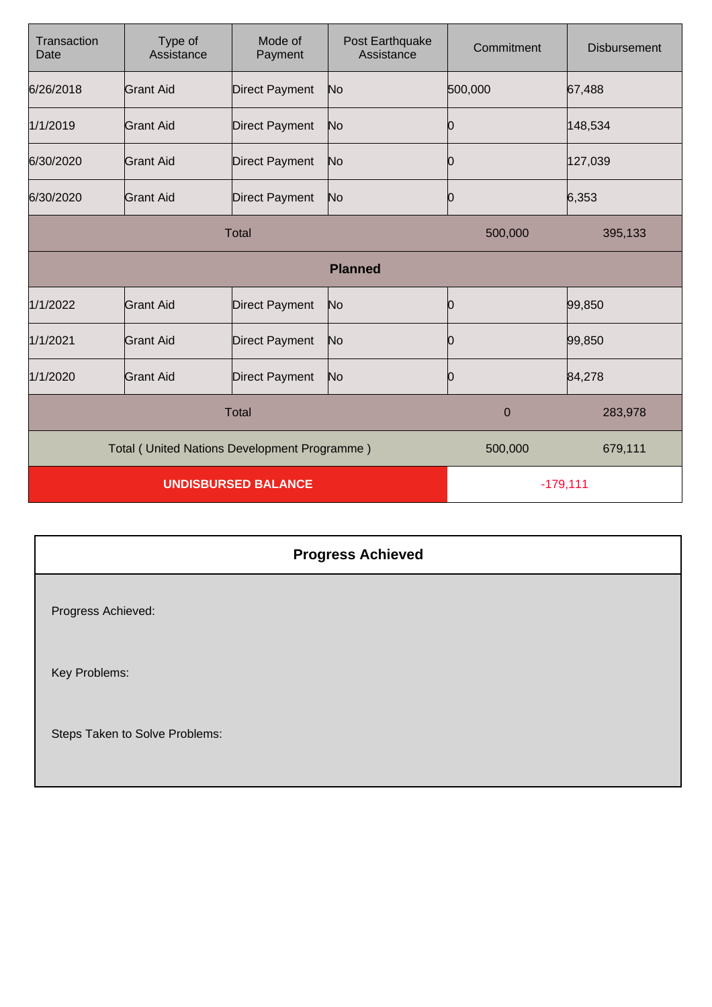| Transaction<br>Date        | Type of<br>Assistance                        | Mode of<br>Payment    | Post Earthquake<br>Assistance | Commitment | <b>Disbursement</b> |
|----------------------------|----------------------------------------------|-----------------------|-------------------------------|------------|---------------------|
| 6/26/2018                  | <b>Grant Aid</b>                             | <b>Direct Payment</b> | No                            | 500,000    | 67,488              |
| 1/1/2019                   | <b>Grant Aid</b>                             | <b>Direct Payment</b> | No                            | Ю          | 148,534             |
| 6/30/2020                  | <b>Grant Aid</b>                             | <b>Direct Payment</b> | No                            |            | 127,039             |
| 6/30/2020                  | <b>Grant Aid</b>                             | <b>Direct Payment</b> | No                            | 0          | 6,353               |
| <b>Total</b>               |                                              |                       | 500,000                       | 395,133    |                     |
|                            |                                              |                       | <b>Planned</b>                |            |                     |
| 1/1/2022                   | <b>Grant Aid</b>                             | <b>Direct Payment</b> | No                            | 0          | 99,850              |
| 1/1/2021                   | Grant Aid                                    | <b>Direct Payment</b> | No                            |            | 99,850              |
| 1/1/2020                   | <b>Grant Aid</b>                             | <b>Direct Payment</b> | No                            | 0          | 84,278              |
| <b>Total</b>               |                                              |                       | $\overline{0}$                | 283,978    |                     |
|                            | Total (United Nations Development Programme) |                       |                               | 500,000    | 679,111             |
| <b>UNDISBURSED BALANCE</b> |                                              |                       | $-179,111$                    |            |                     |

| <b>Progress Achieved</b>       |  |
|--------------------------------|--|
| Progress Achieved:             |  |
| Key Problems:                  |  |
| Steps Taken to Solve Problems: |  |